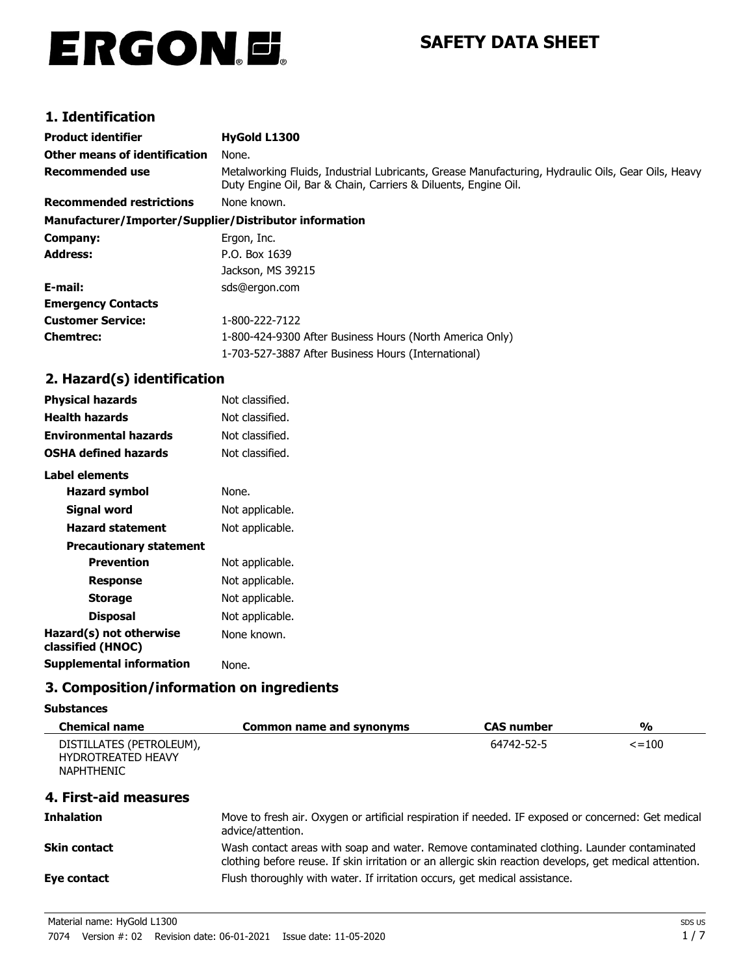# ERGON.E.

## **SAFETY DATA SHEET**

## **1. Identification**

| Product identifier                                     | HyGold L1300                                                                                                                                                         |
|--------------------------------------------------------|----------------------------------------------------------------------------------------------------------------------------------------------------------------------|
| Other means of identification                          | None.                                                                                                                                                                |
| Recommended use                                        | Metalworking Fluids, Industrial Lubricants, Grease Manufacturing, Hydraulic Oils, Gear Oils, Heavy<br>Duty Engine Oil, Bar & Chain, Carriers & Diluents, Engine Oil. |
| <b>Recommended restrictions</b>                        | None known.                                                                                                                                                          |
| Manufacturer/Importer/Supplier/Distributor information |                                                                                                                                                                      |
| Company:                                               | Ergon, Inc.                                                                                                                                                          |
| Address:                                               | P.O. Box 1639                                                                                                                                                        |
|                                                        | Jackson, MS 39215                                                                                                                                                    |
| E-mail:                                                | sds@ergon.com                                                                                                                                                        |
| <b>Emergency Contacts</b>                              |                                                                                                                                                                      |
| <b>Customer Service:</b>                               | 1-800-222-7122                                                                                                                                                       |
| Chemtrec:                                              | 1-800-424-9300 After Business Hours (North America Only)                                                                                                             |
|                                                        | 1-703-527-3887 After Business Hours (International)                                                                                                                  |

## **2. Hazard(s) identification**

| Physical hazards                             | Not classified. |
|----------------------------------------------|-----------------|
| <b>Health hazards</b>                        | Not classified. |
| Environmental hazards                        | Not classified. |
| <b>OSHA defined hazards</b>                  | Not classified. |
| Label elements                               |                 |
| Hazard symbol                                | None.           |
| Signal word                                  | Not applicable. |
| <b>Hazard statement</b>                      | Not applicable. |
| <b>Precautionary statement</b>               |                 |
| <b>Prevention</b>                            | Not applicable. |
| Response                                     | Not applicable. |
| <b>Storage</b>                               | Not applicable. |
| <b>Disposal</b>                              | Not applicable. |
| Hazard(s) not otherwise<br>classified (HNOC) | None known.     |
| <b>Supplemental information</b>              | None.           |

## **3. Composition/information on ingredients**

#### **Substances**

| <b>Chemical name</b>                                                       | <b>Common name and synonyms</b>                                                                                                                                                                       | <b>CAS number</b> | $\frac{0}{0}$ |
|----------------------------------------------------------------------------|-------------------------------------------------------------------------------------------------------------------------------------------------------------------------------------------------------|-------------------|---------------|
| DISTILLATES (PETROLEUM),<br><b>HYDROTREATED HEAVY</b><br><b>NAPHTHENIC</b> |                                                                                                                                                                                                       | 64742-52-5        | $\le$ = 100   |
| 4. First-aid measures                                                      |                                                                                                                                                                                                       |                   |               |
| <b>Inhalation</b>                                                          | Move to fresh air. Oxygen or artificial respiration if needed. IF exposed or concerned: Get medical<br>advice/attention.                                                                              |                   |               |
| Skin contact                                                               | Wash contact areas with soap and water. Remove contaminated clothing. Launder contaminated<br>clothing before reuse. If skin irritation or an allergic skin reaction develops, get medical attention. |                   |               |
| Eye contact                                                                | Flush thoroughly with water. If irritation occurs, get medical assistance.                                                                                                                            |                   |               |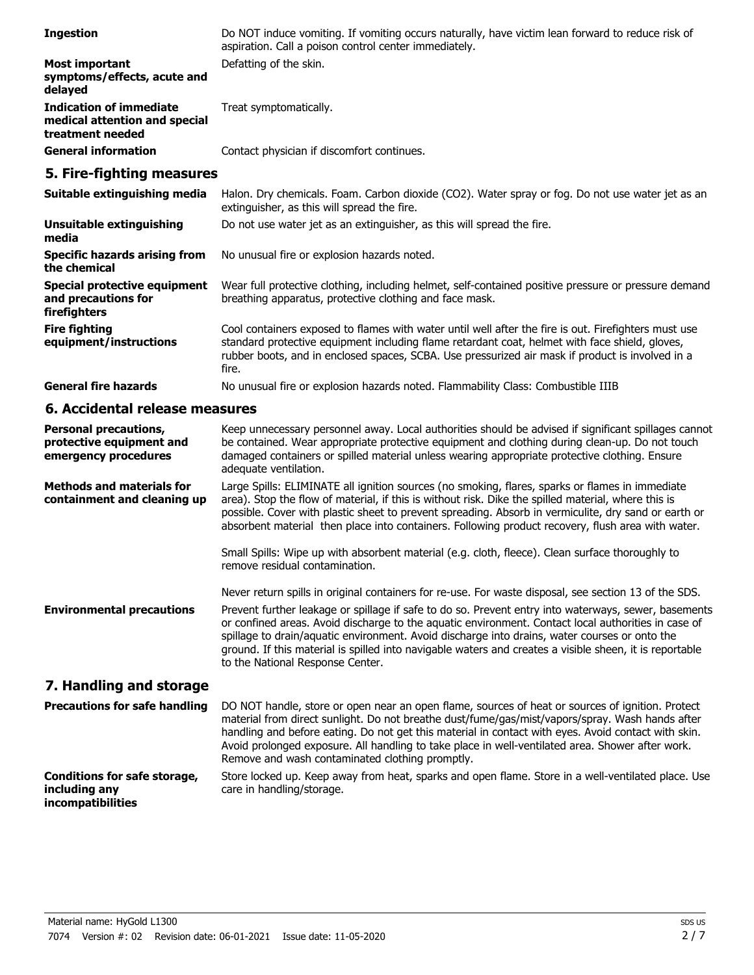| <b>Ingestion</b>                                                                    | Do NOT induce vomiting. If vomiting occurs naturally, have victim lean forward to reduce risk of<br>aspiration. Call a poison control center immediately.                                                                                                                                                                                                                                                                                                         |
|-------------------------------------------------------------------------------------|-------------------------------------------------------------------------------------------------------------------------------------------------------------------------------------------------------------------------------------------------------------------------------------------------------------------------------------------------------------------------------------------------------------------------------------------------------------------|
| <b>Most important</b><br>symptoms/effects, acute and<br>delayed                     | Defatting of the skin.                                                                                                                                                                                                                                                                                                                                                                                                                                            |
| <b>Indication of immediate</b><br>medical attention and special<br>treatment needed | Treat symptomatically.                                                                                                                                                                                                                                                                                                                                                                                                                                            |
| <b>General information</b>                                                          | Contact physician if discomfort continues.                                                                                                                                                                                                                                                                                                                                                                                                                        |
| 5. Fire-fighting measures                                                           |                                                                                                                                                                                                                                                                                                                                                                                                                                                                   |
| Suitable extinguishing media                                                        | Halon. Dry chemicals. Foam. Carbon dioxide (CO2). Water spray or fog. Do not use water jet as an<br>extinguisher, as this will spread the fire.                                                                                                                                                                                                                                                                                                                   |
| <b>Unsuitable extinguishing</b><br>media                                            | Do not use water jet as an extinguisher, as this will spread the fire.                                                                                                                                                                                                                                                                                                                                                                                            |
| <b>Specific hazards arising from</b><br>the chemical                                | No unusual fire or explosion hazards noted.                                                                                                                                                                                                                                                                                                                                                                                                                       |
| <b>Special protective equipment</b><br>and precautions for<br>firefighters          | Wear full protective clothing, including helmet, self-contained positive pressure or pressure demand<br>breathing apparatus, protective clothing and face mask.                                                                                                                                                                                                                                                                                                   |
| <b>Fire fighting</b><br>equipment/instructions                                      | Cool containers exposed to flames with water until well after the fire is out. Firefighters must use<br>standard protective equipment including flame retardant coat, helmet with face shield, gloves,<br>rubber boots, and in enclosed spaces, SCBA. Use pressurized air mask if product is involved in a<br>fire.                                                                                                                                               |
| <b>General fire hazards</b>                                                         | No unusual fire or explosion hazards noted. Flammability Class: Combustible IIIB                                                                                                                                                                                                                                                                                                                                                                                  |
| 6. Accidental release measures                                                      |                                                                                                                                                                                                                                                                                                                                                                                                                                                                   |
| <b>Personal precautions,</b><br>protective equipment and<br>emergency procedures    | Keep unnecessary personnel away. Local authorities should be advised if significant spillages cannot<br>be contained. Wear appropriate protective equipment and clothing during clean-up. Do not touch<br>damaged containers or spilled material unless wearing appropriate protective clothing. Ensure<br>adequate ventilation.                                                                                                                                  |
| <b>Methods and materials for</b><br>containment and cleaning up                     | Large Spills: ELIMINATE all ignition sources (no smoking, flares, sparks or flames in immediate<br>area). Stop the flow of material, if this is without risk. Dike the spilled material, where this is<br>possible. Cover with plastic sheet to prevent spreading. Absorb in vermiculite, dry sand or earth or<br>absorbent material then place into containers. Following product recovery, flush area with water.                                               |
|                                                                                     | Small Spills: Wipe up with absorbent material (e.g. cloth, fleece). Clean surface thoroughly to<br>remove residual contamination.                                                                                                                                                                                                                                                                                                                                 |
|                                                                                     | Never return spills in original containers for re-use. For waste disposal, see section 13 of the SDS.                                                                                                                                                                                                                                                                                                                                                             |
| <b>Environmental precautions</b>                                                    | Prevent further leakage or spillage if safe to do so. Prevent entry into waterways, sewer, basements<br>or confined areas. Avoid discharge to the aquatic environment. Contact local authorities in case of<br>spillage to drain/aquatic environment. Avoid discharge into drains, water courses or onto the<br>ground. If this material is spilled into navigable waters and creates a visible sheen, it is reportable<br>to the National Response Center.       |
| 7. Handling and storage                                                             |                                                                                                                                                                                                                                                                                                                                                                                                                                                                   |
| <b>Precautions for safe handling</b>                                                | DO NOT handle, store or open near an open flame, sources of heat or sources of ignition. Protect<br>material from direct sunlight. Do not breathe dust/fume/gas/mist/vapors/spray. Wash hands after<br>handling and before eating. Do not get this material in contact with eyes. Avoid contact with skin.<br>Avoid prolonged exposure. All handling to take place in well-ventilated area. Shower after work.<br>Remove and wash contaminated clothing promptly. |
| <b>Conditions for safe storage,</b><br>including any<br>incompatibilities           | Store locked up. Keep away from heat, sparks and open flame. Store in a well-ventilated place. Use<br>care in handling/storage.                                                                                                                                                                                                                                                                                                                                   |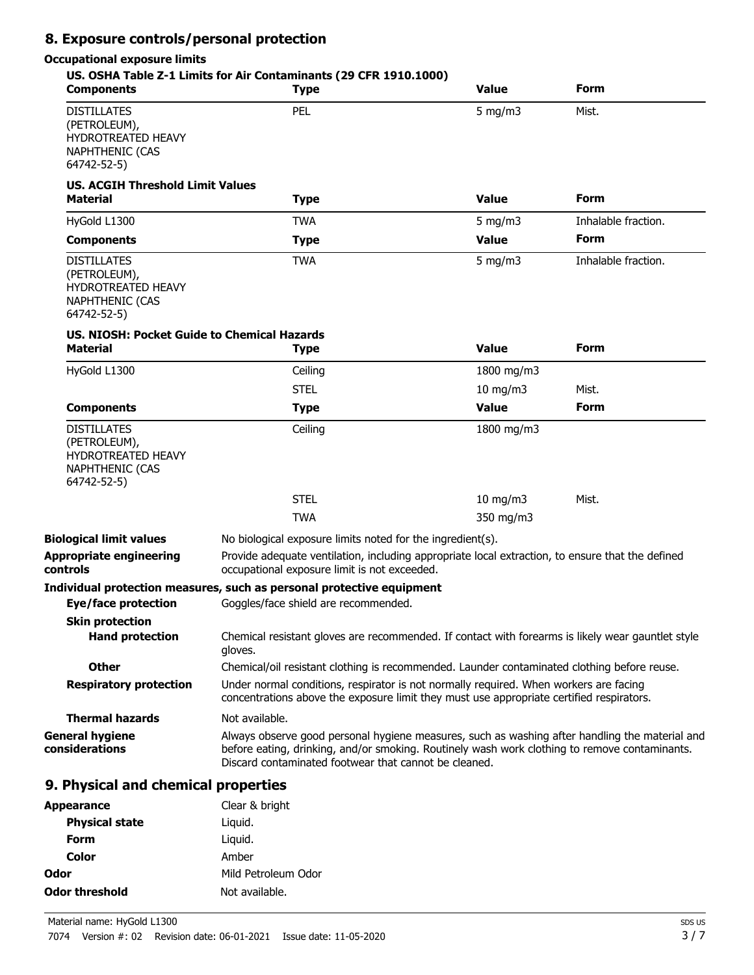## **8. Exposure controls/personal protection**

#### **Occupational exposure limits**

| <b>Components</b>                                                                                        | US. OSHA Table Z-1 Limits for Air Contaminants (29 CFR 1910.1000)<br><b>Type</b>                                                                                                                                                                         | <b>Value</b>  | Form                |
|----------------------------------------------------------------------------------------------------------|----------------------------------------------------------------------------------------------------------------------------------------------------------------------------------------------------------------------------------------------------------|---------------|---------------------|
| <b>DISTILLATES</b><br>(PETROLEUM),<br><b>HYDROTREATED HEAVY</b><br><b>NAPHTHENIC (CAS</b><br>64742-52-5) | PEL                                                                                                                                                                                                                                                      | $5$ mg/m $3$  | Mist.               |
| <b>US. ACGIH Threshold Limit Values</b><br><b>Material</b>                                               | <b>Type</b>                                                                                                                                                                                                                                              | <b>Value</b>  | <b>Form</b>         |
| HyGold L1300                                                                                             | <b>TWA</b>                                                                                                                                                                                                                                               | 5 mg/m $3$    | Inhalable fraction. |
| <b>Components</b>                                                                                        | <b>Type</b>                                                                                                                                                                                                                                              | <b>Value</b>  | Form                |
| <b>DISTILLATES</b><br>(PETROLEUM),<br>HYDROTREATED HEAVY<br>NAPHTHENIC (CAS<br>64742-52-5)               | <b>TWA</b>                                                                                                                                                                                                                                               | $5$ mg/m $3$  | Inhalable fraction. |
| <b>US. NIOSH: Pocket Guide to Chemical Hazards</b><br><b>Material</b>                                    | <b>Type</b>                                                                                                                                                                                                                                              | <b>Value</b>  | <b>Form</b>         |
| HyGold L1300                                                                                             | Ceiling                                                                                                                                                                                                                                                  | 1800 mg/m3    |                     |
|                                                                                                          | <b>STEL</b>                                                                                                                                                                                                                                              | $10$ mg/m $3$ | Mist.               |
| <b>Components</b>                                                                                        | <b>Type</b>                                                                                                                                                                                                                                              | <b>Value</b>  | <b>Form</b>         |
| <b>DISTILLATES</b><br>(PETROLEUM),<br><b>HYDROTREATED HEAVY</b><br><b>NAPHTHENIC (CAS</b><br>64742-52-5) | Ceiling                                                                                                                                                                                                                                                  | 1800 mg/m3    |                     |
|                                                                                                          | <b>STEL</b>                                                                                                                                                                                                                                              | $10$ mg/m $3$ | Mist.               |
|                                                                                                          | <b>TWA</b>                                                                                                                                                                                                                                               | 350 mg/m3     |                     |
| <b>Biological limit values</b>                                                                           | No biological exposure limits noted for the ingredient(s).                                                                                                                                                                                               |               |                     |
| <b>Appropriate engineering</b><br>controls                                                               | Provide adequate ventilation, including appropriate local extraction, to ensure that the defined<br>occupational exposure limit is not exceeded.                                                                                                         |               |                     |
| Eye/face protection<br><b>Skin protection</b>                                                            | Individual protection measures, such as personal protective equipment<br>Goggles/face shield are recommended.                                                                                                                                            |               |                     |
| <b>Hand protection</b>                                                                                   | Chemical resistant gloves are recommended. If contact with forearms is likely wear gauntlet style<br>gloves.                                                                                                                                             |               |                     |
| <b>Other</b>                                                                                             | Chemical/oil resistant clothing is recommended. Launder contaminated clothing before reuse.                                                                                                                                                              |               |                     |
| <b>Respiratory protection</b>                                                                            | Under normal conditions, respirator is not normally required. When workers are facing<br>concentrations above the exposure limit they must use appropriate certified respirators.                                                                        |               |                     |
| <b>Thermal hazards</b>                                                                                   | Not available.                                                                                                                                                                                                                                           |               |                     |
| <b>General hygiene</b><br>considerations                                                                 | Always observe good personal hygiene measures, such as washing after handling the material and<br>before eating, drinking, and/or smoking. Routinely wash work clothing to remove contaminants.<br>Discard contaminated footwear that cannot be cleaned. |               |                     |
| 9. Physical and chemical properties                                                                      |                                                                                                                                                                                                                                                          |               |                     |
| <b>Appearance</b>                                                                                        | Clear & bright                                                                                                                                                                                                                                           |               |                     |

| <b>Physical state</b> | Liquid.             |
|-----------------------|---------------------|
| Form                  | Liguid.             |
| Color                 | Amber               |
| Odor                  | Mild Petroleum Odor |
| Odor threshold        | Not available.      |
|                       |                     |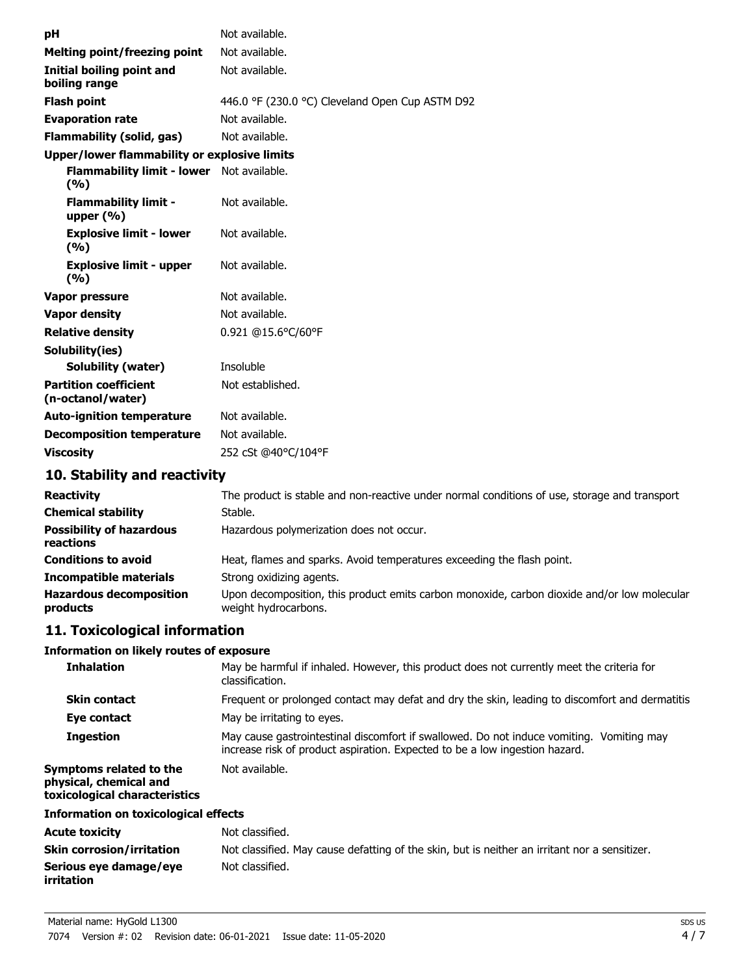| рH                                                | Not available.                                  |
|---------------------------------------------------|-------------------------------------------------|
| <b>Melting point/freezing point</b>               | Not available.                                  |
| Initial boiling point and<br>boiling range        | Not available.                                  |
| <b>Flash point</b>                                | 446.0 °F (230.0 °C) Cleveland Open Cup ASTM D92 |
| <b>Evaporation rate</b>                           | Not available.                                  |
| <b>Flammability (solid, gas)</b>                  | Not available.                                  |
| Upper/lower flammability or explosive limits      |                                                 |
| Flammability limit - lower Not available.<br>(%)  |                                                 |
| <b>Flammability limit -</b><br>upper $(\% )$      | Not available.                                  |
| <b>Explosive limit - lower</b><br>(9/6)           | Not available.                                  |
| <b>Explosive limit - upper</b><br>(9/6)           | Not available.                                  |
| Vapor pressure                                    | Not available.                                  |
| <b>Vapor density</b>                              | Not available.                                  |
| <b>Relative density</b>                           | 0.921 @15.6°C/60°F                              |
| Solubility(ies)                                   |                                                 |
| Solubility (water)                                | Insoluble                                       |
| <b>Partition coefficient</b><br>(n-octanol/water) | Not established.                                |
| <b>Auto-ignition temperature</b>                  | Not available.                                  |
| <b>Decomposition temperature</b>                  | Not available.                                  |
| <b>Viscosity</b>                                  | 252 cSt @40°C/104°F                             |
|                                                   |                                                 |

## **10. Stability and reactivity**

| <b>Reactivity</b>                            | The product is stable and non-reactive under normal conditions of use, storage and transport                        |
|----------------------------------------------|---------------------------------------------------------------------------------------------------------------------|
| <b>Chemical stability</b>                    | Stable.                                                                                                             |
| <b>Possibility of hazardous</b><br>reactions | Hazardous polymerization does not occur.                                                                            |
| <b>Conditions to avoid</b>                   | Heat, flames and sparks. Avoid temperatures exceeding the flash point.                                              |
| <b>Incompatible materials</b>                | Strong oxidizing agents.                                                                                            |
| <b>Hazardous decomposition</b><br>products   | Upon decomposition, this product emits carbon monoxide, carbon dioxide and/or low molecular<br>weight hydrocarbons. |

## **11. Toxicological information**

#### **Information on likely routes of exposure**

| <b>Inhalation</b>                                                                  | May be harmful if inhaled. However, this product does not currently meet the criteria for<br>classification.                                                            |
|------------------------------------------------------------------------------------|-------------------------------------------------------------------------------------------------------------------------------------------------------------------------|
| <b>Skin contact</b>                                                                | Frequent or prolonged contact may defat and dry the skin, leading to discomfort and dermatitis                                                                          |
| Eye contact                                                                        | May be irritating to eyes.                                                                                                                                              |
| <b>Ingestion</b>                                                                   | May cause gastrointestinal discomfort if swallowed. Do not induce vomiting. Vomiting may<br>increase risk of product aspiration. Expected to be a low ingestion hazard. |
| Symptoms related to the<br>physical, chemical and<br>toxicological characteristics | Not available.                                                                                                                                                          |
| To Concerting on the factor land of a Claster                                      |                                                                                                                                                                         |

#### **Information on toxicological effects**

| <b>Acute toxicity</b>                | Not classified.                                                                               |
|--------------------------------------|-----------------------------------------------------------------------------------------------|
| <b>Skin corrosion/irritation</b>     | Not classified. May cause defatting of the skin, but is neither an irritant nor a sensitizer. |
| Serious eye damage/eye<br>irritation | Not classified.                                                                               |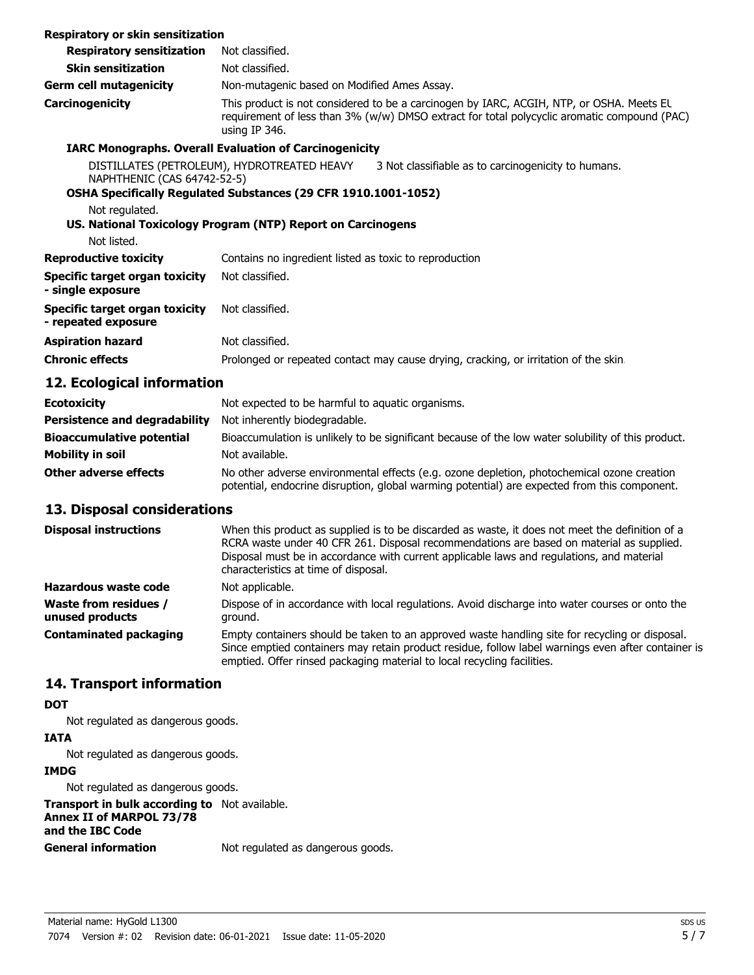| Respiratory or skin sensitization                     |                                                                                                                                                                                                          |                                                                                     |
|-------------------------------------------------------|----------------------------------------------------------------------------------------------------------------------------------------------------------------------------------------------------------|-------------------------------------------------------------------------------------|
| <b>Respiratory sensitization</b>                      | Not classified.                                                                                                                                                                                          |                                                                                     |
| <b>Skin sensitization</b>                             | Not classified.                                                                                                                                                                                          |                                                                                     |
| <b>Germ cell mutagenicity</b>                         | Non-mutagenic based on Modified Ames Assay.                                                                                                                                                              |                                                                                     |
| Carcinogenicity                                       | This product is not considered to be a carcinogen by IARC, ACGIH, NTP, or OSHA. Meets EL<br>requirement of less than 3% (w/w) DMSO extract for total polycyclic aromatic compound (PAC)<br>using IP 346. |                                                                                     |
|                                                       | <b>IARC Monographs. Overall Evaluation of Carcinogenicity</b>                                                                                                                                            |                                                                                     |
| NAPHTHENIC (CAS 64742-52-5)                           | DISTILLATES (PETROLEUM), HYDROTREATED HEAVY<br>3 Not classifiable as to carcinogenicity to humans.                                                                                                       |                                                                                     |
|                                                       | OSHA Specifically Regulated Substances (29 CFR 1910.1001-1052)                                                                                                                                           |                                                                                     |
| Not regulated.                                        |                                                                                                                                                                                                          |                                                                                     |
|                                                       | US. National Toxicology Program (NTP) Report on Carcinogens                                                                                                                                              |                                                                                     |
| Not listed.                                           |                                                                                                                                                                                                          |                                                                                     |
| <b>Reproductive toxicity</b>                          | Contains no ingredient listed as toxic to reproduction                                                                                                                                                   |                                                                                     |
| Specific target organ toxicity<br>- single exposure   | Not classified.                                                                                                                                                                                          |                                                                                     |
| Specific target organ toxicity<br>- repeated exposure | Not classified.                                                                                                                                                                                          |                                                                                     |
| <b>Aspiration hazard</b>                              | Not classified.                                                                                                                                                                                          |                                                                                     |
| <b>Chronic effects</b>                                |                                                                                                                                                                                                          | Prolonged or repeated contact may cause drying, cracking, or irritation of the skin |
| 12. Ecological information                            |                                                                                                                                                                                                          |                                                                                     |
| <b>Ecotoxicity</b>                                    | Not expected to be harmful to aquatic organisms.                                                                                                                                                         |                                                                                     |

| -----------                          | $1.000$ cripted to be naming to again or gaments.                                                                                                                                          |
|--------------------------------------|--------------------------------------------------------------------------------------------------------------------------------------------------------------------------------------------|
| <b>Persistence and degradability</b> | Not inherently biodegradable.                                                                                                                                                              |
| <b>Bioaccumulative potential</b>     | Bioaccumulation is unlikely to be significant because of the low water solubility of this product.                                                                                         |
| Mobility in soil                     | Not available.                                                                                                                                                                             |
| <b>Other adverse effects</b>         | No other adverse environmental effects (e.g. ozone depletion, photochemical ozone creation<br>potential, endocrine disruption, global warming potential) are expected from this component. |

## **13. Disposal considerations**

| <b>Disposal instructions</b>                    | When this product as supplied is to be discarded as waste, it does not meet the definition of a<br>RCRA waste under 40 CFR 261. Disposal recommendations are based on material as supplied.<br>Disposal must be in accordance with current applicable laws and regulations, and material<br>characteristics at time of disposal. |
|-------------------------------------------------|----------------------------------------------------------------------------------------------------------------------------------------------------------------------------------------------------------------------------------------------------------------------------------------------------------------------------------|
| Hazardous waste code                            | Not applicable.                                                                                                                                                                                                                                                                                                                  |
| <b>Waste from residues /</b><br>unused products | Dispose of in accordance with local regulations. Avoid discharge into water courses or onto the<br>ground.                                                                                                                                                                                                                       |
| <b>Contaminated packaging</b>                   | Empty containers should be taken to an approved waste handling site for recycling or disposal.<br>Since emptied containers may retain product residue, follow label warnings even after container is<br>emptied. Offer rinsed packaging material to local recycling facilities.                                                  |

## **14. Transport information**

#### **DOT**

Not regulated as dangerous goods.

## **IATA**

Not regulated as dangerous goods.

## **IMDG**

Not regulated as dangerous goods.

**Transport in bulk according to** Not available. **Annex II of MARPOL 73/78 and the IBC Code**

**General information** Not regulated as dangerous goods.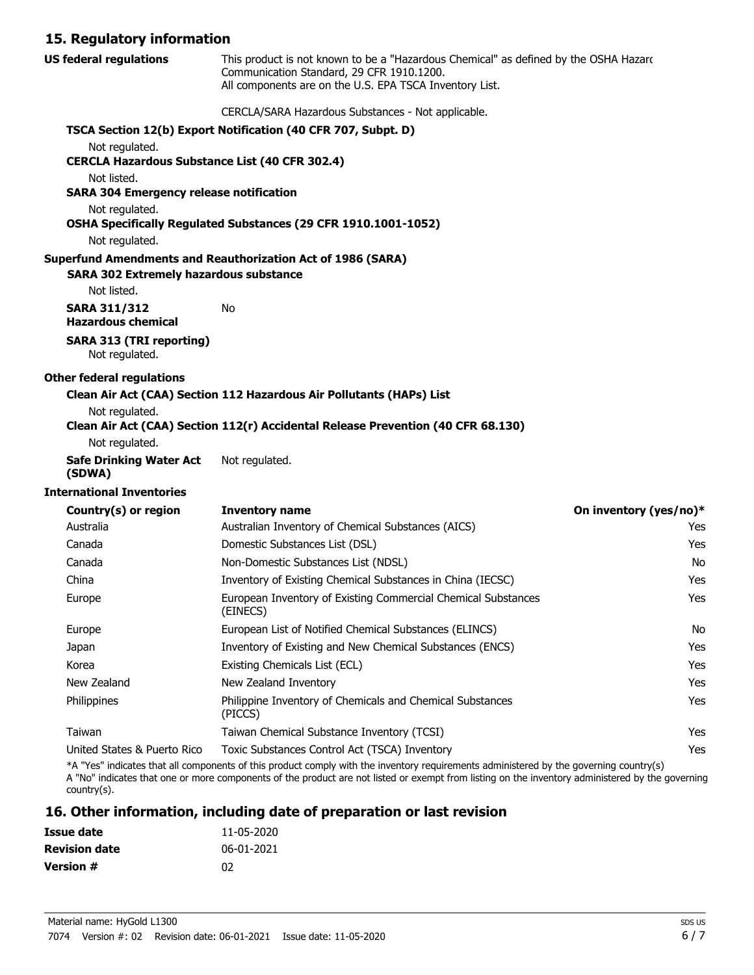#### **15. Regulatory information**

| <b>US federal regulations</b>                                           | This product is not known to be a "Hazardous Chemical" as defined by the OSHA Hazard<br>Communication Standard, 29 CFR 1910.1200.<br>All components are on the U.S. EPA TSCA Inventory List. |                        |
|-------------------------------------------------------------------------|----------------------------------------------------------------------------------------------------------------------------------------------------------------------------------------------|------------------------|
|                                                                         | CERCLA/SARA Hazardous Substances - Not applicable.                                                                                                                                           |                        |
|                                                                         | TSCA Section 12(b) Export Notification (40 CFR 707, Subpt. D)                                                                                                                                |                        |
| Not regulated.<br><b>CERCLA Hazardous Substance List (40 CFR 302.4)</b> |                                                                                                                                                                                              |                        |
| Not listed.<br><b>SARA 304 Emergency release notification</b>           |                                                                                                                                                                                              |                        |
| Not regulated.                                                          | OSHA Specifically Regulated Substances (29 CFR 1910.1001-1052)                                                                                                                               |                        |
| Not regulated.                                                          |                                                                                                                                                                                              |                        |
| <b>SARA 302 Extremely hazardous substance</b>                           | <b>Superfund Amendments and Reauthorization Act of 1986 (SARA)</b>                                                                                                                           |                        |
| Not listed.                                                             |                                                                                                                                                                                              |                        |
| <b>SARA 311/312</b><br><b>Hazardous chemical</b>                        | No                                                                                                                                                                                           |                        |
| <b>SARA 313 (TRI reporting)</b><br>Not regulated.                       |                                                                                                                                                                                              |                        |
| <b>Other federal regulations</b>                                        |                                                                                                                                                                                              |                        |
| Not regulated.                                                          | Clean Air Act (CAA) Section 112 Hazardous Air Pollutants (HAPs) List<br>Clean Air Act (CAA) Section 112(r) Accidental Release Prevention (40 CFR 68.130)                                     |                        |
| Not regulated.                                                          |                                                                                                                                                                                              |                        |
| <b>Safe Drinking Water Act</b><br>(SDWA)                                | Not regulated.                                                                                                                                                                               |                        |
| <b>International Inventories</b>                                        |                                                                                                                                                                                              |                        |
| Country(s) or region                                                    | <b>Inventory name</b>                                                                                                                                                                        | On inventory (yes/no)* |
| Australia                                                               | Australian Inventory of Chemical Substances (AICS)                                                                                                                                           | Yes                    |
| Canada                                                                  | Domestic Substances List (DSL)                                                                                                                                                               | Yes                    |
| Canada                                                                  | Non-Domestic Substances List (NDSL)                                                                                                                                                          | No                     |
| China                                                                   | Inventory of Existing Chemical Substances in China (IECSC)                                                                                                                                   | Yes                    |
| Europe                                                                  | European Inventory of Existing Commercial Chemical Substances<br>(EINECS)                                                                                                                    | Yes                    |
| Europe                                                                  | European List of Notified Chemical Substances (ELINCS)                                                                                                                                       | No                     |
| Japan                                                                   | Inventory of Existing and New Chemical Substances (ENCS)                                                                                                                                     | Yes                    |
| Korea                                                                   | Existing Chemicals List (ECL)                                                                                                                                                                | Yes                    |
| New Zealand                                                             | New Zealand Inventory                                                                                                                                                                        | Yes                    |
| Philippines                                                             | Philippine Inventory of Chemicals and Chemical Substances<br>(PICCS)                                                                                                                         | Yes                    |
| Taiwan                                                                  | Taiwan Chemical Substance Inventory (TCSI)                                                                                                                                                   | Yes                    |
| United States & Puerto Rico                                             | Toxic Substances Control Act (TSCA) Inventory                                                                                                                                                | Yes                    |

\*A "Yes" indicates that all components of this product comply with the inventory requirements administered by the governing country(s) A "No" indicates that one or more components of the product are not listed or exempt from listing on the inventory administered by the governing country(s).

## **16. Other information, including date of preparation or last revision**

| Issue date           | 11-05-2020 |
|----------------------|------------|
| <b>Revision date</b> | 06-01-2021 |
| Version #            | በ2         |